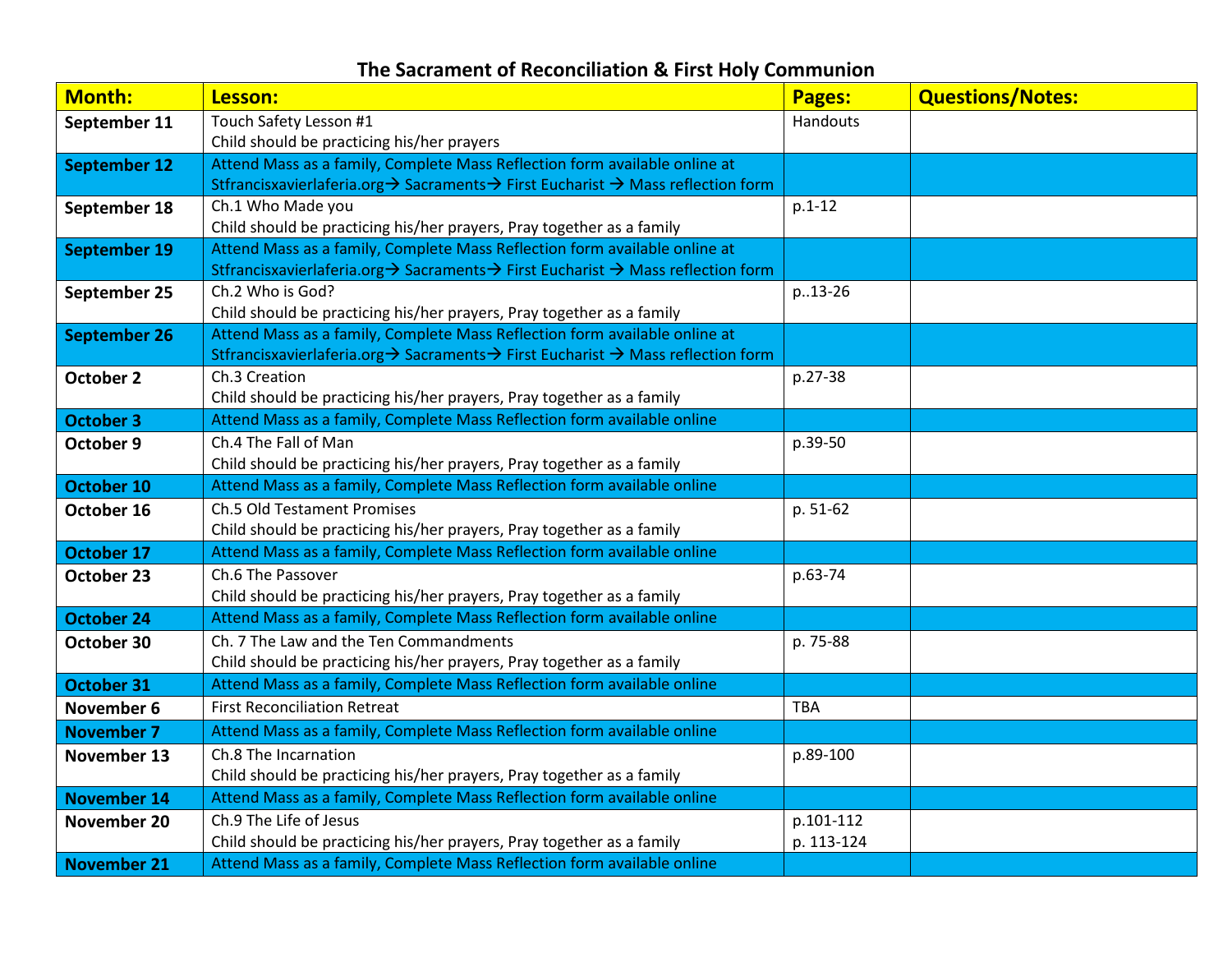## **The Sacrament of Reconciliation & First Holy Communion**

| <b>Month:</b>       | Lesson:                                                                                                                                                        | Pages:     | <b>Questions/Notes:</b> |
|---------------------|----------------------------------------------------------------------------------------------------------------------------------------------------------------|------------|-------------------------|
| September 11        | Touch Safety Lesson #1                                                                                                                                         | Handouts   |                         |
|                     | Child should be practicing his/her prayers                                                                                                                     |            |                         |
| <b>September 12</b> | Attend Mass as a family, Complete Mass Reflection form available online at                                                                                     |            |                         |
|                     | Stfrancisxavierlaferia.org → Sacraments → First Eucharist → Mass reflection form                                                                               |            |                         |
| September 18        | Ch.1 Who Made you                                                                                                                                              | $p.1-12$   |                         |
|                     | Child should be practicing his/her prayers, Pray together as a family                                                                                          |            |                         |
| <b>September 19</b> | Attend Mass as a family, Complete Mass Reflection form available online at                                                                                     |            |                         |
|                     | Stfrancisxavierlaferia.org → Sacraments → First Eucharist → Mass reflection form                                                                               |            |                         |
| September 25        | Ch.2 Who is God?                                                                                                                                               | p13-26     |                         |
|                     | Child should be practicing his/her prayers, Pray together as a family                                                                                          |            |                         |
| <b>September 26</b> | Attend Mass as a family, Complete Mass Reflection form available online at<br>Stfrancisxavierlaferia.org → Sacraments → First Eucharist → Mass reflection form |            |                         |
| October 2           | Ch.3 Creation                                                                                                                                                  | p.27-38    |                         |
|                     | Child should be practicing his/her prayers, Pray together as a family                                                                                          |            |                         |
| <b>October 3</b>    | Attend Mass as a family, Complete Mass Reflection form available online                                                                                        |            |                         |
| October 9           | Ch.4 The Fall of Man                                                                                                                                           | p.39-50    |                         |
|                     | Child should be practicing his/her prayers, Pray together as a family                                                                                          |            |                         |
| October 10          | Attend Mass as a family, Complete Mass Reflection form available online                                                                                        |            |                         |
| October 16          | <b>Ch.5 Old Testament Promises</b>                                                                                                                             | p. 51-62   |                         |
|                     | Child should be practicing his/her prayers, Pray together as a family                                                                                          |            |                         |
| <b>October 17</b>   | Attend Mass as a family, Complete Mass Reflection form available online                                                                                        |            |                         |
| October 23          | Ch.6 The Passover                                                                                                                                              | p.63-74    |                         |
|                     | Child should be practicing his/her prayers, Pray together as a family                                                                                          |            |                         |
| <b>October 24</b>   | Attend Mass as a family, Complete Mass Reflection form available online                                                                                        |            |                         |
| October 30          | Ch. 7 The Law and the Ten Commandments                                                                                                                         | p. 75-88   |                         |
|                     | Child should be practicing his/her prayers, Pray together as a family                                                                                          |            |                         |
| <b>October 31</b>   | Attend Mass as a family, Complete Mass Reflection form available online                                                                                        |            |                         |
| November 6          | <b>First Reconciliation Retreat</b>                                                                                                                            | <b>TBA</b> |                         |
| <b>November 7</b>   | Attend Mass as a family, Complete Mass Reflection form available online                                                                                        |            |                         |
| November 13         | Ch.8 The Incarnation                                                                                                                                           | p.89-100   |                         |
|                     | Child should be practicing his/her prayers, Pray together as a family                                                                                          |            |                         |
| <b>November 14</b>  | Attend Mass as a family, Complete Mass Reflection form available online                                                                                        |            |                         |
| November 20         | Ch.9 The Life of Jesus                                                                                                                                         | p.101-112  |                         |
|                     | Child should be practicing his/her prayers, Pray together as a family                                                                                          | p. 113-124 |                         |
| <b>November 21</b>  | Attend Mass as a family, Complete Mass Reflection form available online                                                                                        |            |                         |